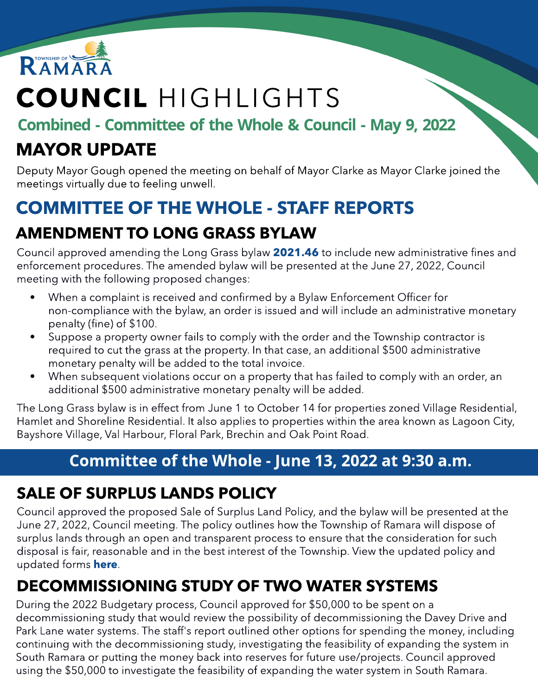

# COUNCIL HIGHLIGHTS

Combined - Committee of the Whole & Council - May 9, 2022

#### MAYOR UPDATE

Deputy Mayor Gough opened the meeting on behalf of Mayor Clarke as Mayor Clarke joined the meetings virtually due to feeling unwell.

### COMMITTEE OF THE WHOLE - STAFF REPORTS

#### AMENDMENT TO LONG GRASS BYLAW

Council approved amending the Long Grass bylaw [2021.46](https://ramara.civicweb.net/document/62835/Amendment%20to%20Long%20Grass%20Bylaw%202021.46.pdf?handle=B316F0E691834A7D8B30CC6E97CAB223) to include new administrative fines and enforcement procedures. The amended bylaw will be presented at the June 27, 2022, Council meeting with the following proposed changes:

- When a complaint is received and confirmed by a Bylaw Enforcement Officer for non-compliance with the bylaw, an order is issued and will include an administrative monetary penalty (fine) of \$100.
- Suppose a property owner fails to comply with the order and the Township contractor is required to cut the grass at the property. In that case, an additional \$500 administrative monetary penalty will be added to the total invoice.
- When subsequent violations occur on a property that has failed to comply with an order, an additional \$500 administrative monetary penalty will be added.

The Long Grass bylaw is in effect from June 1 to October 14 for properties zoned Village Residential, Hamlet and Shoreline Residential. It also applies to properties within the area known as Lagoon City, Bayshore Village, Val Harbour, Floral Park, Brechin and Oak Point Road.

#### Committee of the Whole - June 13, 2022 at 9:30 a.m.

#### SALE OF SURPLUS LANDS POLICY

Council approved the proposed Sale of Surplus Land Policy, and the bylaw will be presented at the June 27, 2022, Council meeting. The policy outlines how the Township of Ramara will dispose of surplus lands through an open and transparent process to ensure that the consideration for such disposal is fair, reasonable and in the best interest of the Township. View the updated policy and updated forms **[here](https://ramara.civicweb.net/document/62849/Proposed%20Sale%20of%20Surplus%20Lands%20Policy.pdf?handle=F537EA454FCB4710AB568386505836AE)**.

### DECOMMISSIONING STUDY OF TWO WATER SYSTEMS

During the 2022 Budgetary process, Council approved for \$50,000 to be spent on a decommissioning study that would review the possibility of decommissioning the Davey Drive and Park Lane water systems. The staff's report outlined other options for spending the money, including continuing with the decommissioning study, investigating the feasibility of expanding the system in South Ramara or putting the money back into reserves for future use/projects. Council approved using the \$50,000 to investigate the feasibility of expanding the water system in South Ramara.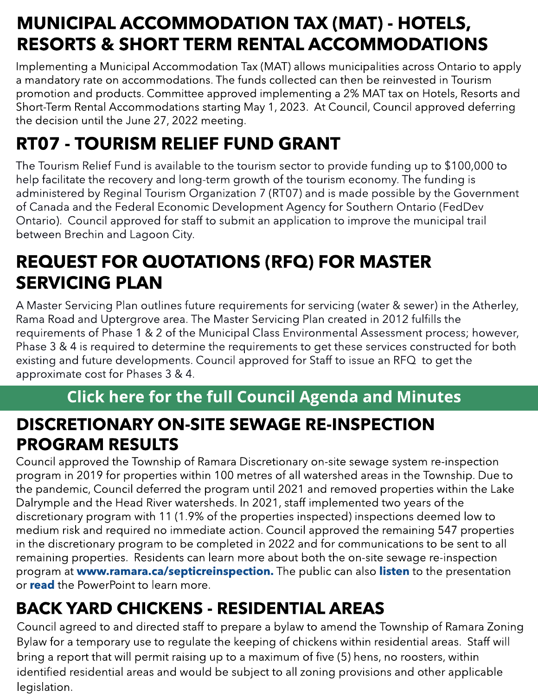### MUNICIPAL ACCOMMODATION TAX (MAT) - HOTELS, RESORTS & SHORT TERM RENTAL ACCOMMODATIONS

Implementing a Municipal Accommodation Tax (MAT) allows municipalities across Ontario to apply a mandatory rate on accommodations. The funds collected can then be reinvested in Tourism promotion and products. Committee approved implementing a 2% MAT tax on Hotels, Resorts and Short-Term Rental Accommodations starting May 1, 2023. At Council, Council approved deferring the decision until the June 27, 2022 meeting.

### RT07 - TOURISM RELIEF FUND GRANT

The Tourism Relief Fund is available to the tourism sector to provide funding up to \$100,000 to help facilitate the recovery and long-term growth of the tourism economy. The funding is administered by Reginal Tourism Organization 7 (RT07) and is made possible by the Government of Canada and the Federal Economic Development Agency for Southern Ontario (FedDev Ontario). Council approved for staff to submit an application to improve the municipal trail between Brechin and Lagoon City.

#### REQUEST FOR QUOTATIONS (RFQ) FOR MASTER SERVICING PLAN

A Master Servicing Plan outlines future requirements for servicing (water & sewer) in the Atherley, Rama Road and Uptergrove area. The Master Servicing Plan created in 2012 fulfills the requirements of Phase 1 & 2 of the Municipal Class Environmental Assessment process; however, Phase 3 & 4 is required to determine the requirements to get these services constructed for both existing and future developments. Council approved for Staff to issue an RFQ to get the approximate cost for Phases 3 & 4.

#### [Click](https://ramara.civicweb.net/portal/) [here](https://ramara.civicweb.net/portal/) [for](https://ramara.civicweb.net/portal/) t[he](https://ramara.civicweb.net/portal/) [full](https://ramara.civicweb.net/portal/) [Council](https://ramara.civicweb.net/portal/) [Agenda](https://ramara.civicweb.net/portal/) [and](https://ramara.civicweb.net/portal/) [Minut](https://ramara.civicweb.net/portal/)es

#### DISCRETION ARY ON SITE O DISCRETIONARY ON-SITE SEWAGE RE-INSPECTION PROGRAM RESULTS

Council approved the Township of Ramara Discretionary on-site sewage system re-inspection program in 2019 for properties within 100 metres of all watershed areas in the Township. Due to the pandemic, Council deferred the program until 2021 and removed properties within the Lake Dalrymple and the Head River watersheds. In 2021, staff implemented two years of the discretionary program with 11 (1.9% of the properties inspected) inspections deemed low to medium risk and required no immediate action. Council approved the remaining 547 properties in the discretionary program to be completed in 2022 and for communications to be sent to all remaining properties. Residents can learn more about both the on-site sewage re-inspection program at **www.ramara.ca/[septicreinspection.](https://www.ramara.ca/en/business-and-development/septic-reinspection-program.aspx)** The public can also **[listen](https://youtu.be/JdobM4Vc7D4?t=3693)** to the presentation or **[read](https://ramara.civicweb.net/document/63342/Septic%20Reinspection%20Presentation%20-%20AFINAL.pdf?handle=2EB0348F80A7471BBDA54BD2195636DD)** the PowerPoint to learn more.

#### BACK YARD CHICKENS - RESIDENTIAL AREAS

Council agreed to and directed staff to prepare a bylaw to amend the Township of Ramara Zoning Bylaw for a temporary use to regulate the keeping of chickens within residential areas. Staff will bring a report that will permit raising up to a maximum of five (5) hens, no roosters, within identified residential areas and would be subject to all zoning provisions and other applicable legislation.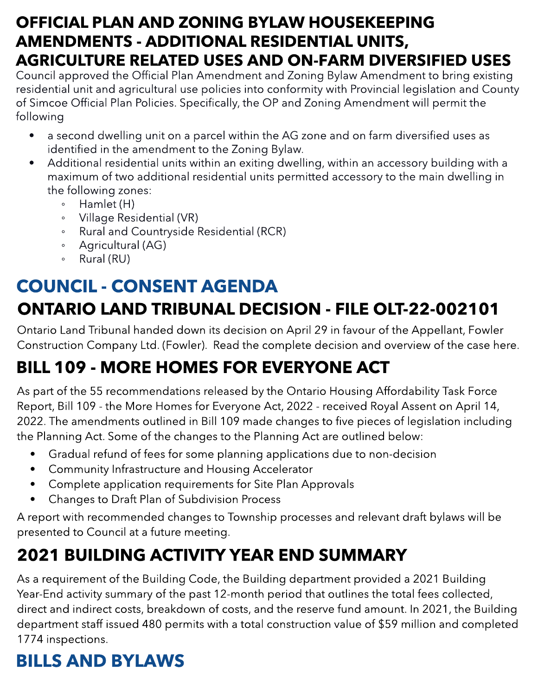#### OFFICIAL PLAN AND ZONING BYLAW HOUSEKEEPING AMENDMENTS - ADDITIONAL RESIDENTIAL UNITS, AGRICULTURE RELATED USES AND ON-FARM DIVERSIFIED USES

Council approved the Official Plan Amendment and Zoning Bylaw Amendment to bring existing residential unit and agricultural use policies into conformity with Provincial legislation and County of Simcoe Official Plan Policies. Specifically, the OP and Zoning Amendment will permit the following

- a second dwelling unit on a parcel within the AG zone and on farm diversified uses as identified in the amendment to the Zoning Bylaw.
- Additional residential units within an exiting dwelling, within an accessory building with a maximum of two additional residential units permitted accessory to the main dwelling in the following zones:
	- $\circ$  Hamlet (H)
	- Village Residential (VR)
	- Rural and Countryside Residential (RCR)
	- Agricultural (AG)
	- Rural (RU)

### COUNCIL - CONSENT AGENDA ONTARIO LAND TRIBUNAL DECISION - FILE OLT-22-002101

Ontario Land Tribunal handed down its decision on April 29 in favour of the Appellant, Fowler Construction Company Ltd. (Fowler). Read the complete decision and overview of the case [here](https://ramara.civicweb.net/document/63265/OLT-22-002101-APR-29-2022%20-%20A.pdf?handle=7095CB2C13A54CE9AC9B3FD596C90CC6).

## BILL 109 - MORE HOMES FOR EVERYONE ACT

As part of the 55 recommendations released by the Ontario Housing Affordability Task Force Report, Bill 109 - the More Homes for Everyone Act, 2022 - received Royal Assent on April 14, 2022. The amendments outlined in Bill 109 made changes to five pieces of legislation including the Planning Act. Some of the changes to the Planning Act are outlined below:

- Gradual refund of fees for some planning applications due to non-decision
- Community Infrastructure and Housing Accelerator
- Complete application requirements for Site Plan Approvals
- Changes to Draft Plan of Subdivision Process

A report with recommended changes to Township processes and relevant draft bylaws will be presented to Council at a future meeting.

### 2021 BUILDING ACTIVITY YEAR END SUMMARY

As a requirement of the Building Code, the Building department provided a 2021 Building Year-End activity summary of the past 12-month period that outlines the total fees collected, direct and indirect costs, breakdown of costs, and the reserve fund amount. In 2021, the Building department staff issued 480 permits with a total construction value of \$59 million and completed 1774 inspections.

## BILLS AND BYLAWS